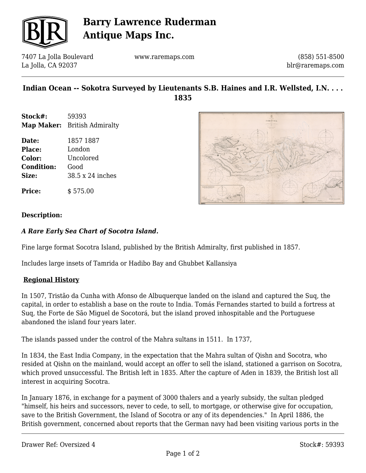

# **Barry Lawrence Ruderman Antique Maps Inc.**

7407 La Jolla Boulevard La Jolla, CA 92037

www.raremaps.com

(858) 551-8500 blr@raremaps.com

# **Indian Ocean -- Sokotra Surveyed by Lieutenants S.B. Haines and I.R. Wellsted, I.N. . . . 1835**

- **Stock#:** 59393 **Map Maker:** British Admiralty
- **Date:** 1857 1887 **Place:** London **Color:** Uncolored **Condition:** Good **Size:** 38.5 x 24 inches





## **Description:**

### *A Rare Early Sea Chart of Socotra Island.*

Fine large format Socotra Island, published by the British Admiralty, first published in 1857.

Includes large insets of Tamrida or Hadibo Bay and Ghubbet Kallansiya

#### **Regional History**

In 1507, Tristão da Cunha with Afonso de Albuquerque landed on the island and captured the Suq, the capital, in order to establish a base on the route to India. Tomás Fernandes started to build a fortress at Suq, the Forte de São Miguel de Socotorá, but the island proved inhospitable and the Portuguese abandoned the island four years later.

The islands passed under the control of the Mahra sultans in 1511. In 1737,

In 1834, the East India Company, in the expectation that the Mahra sultan of Qishn and Socotra, who resided at Qishn on the mainland, would accept an offer to sell the island, stationed a garrison on Socotra, which proved unsuccessful. The British left in 1835. After the capture of Aden in 1839, the British lost all interest in acquiring Socotra.

In January 1876, in exchange for a payment of 3000 thalers and a yearly subsidy, the sultan pledged "himself, his heirs and successors, never to cede, to sell, to mortgage, or otherwise give for occupation, save to the British Government, the Island of Socotra or any of its dependencies." In April 1886, the British government, concerned about reports that the German navy had been visiting various ports in the